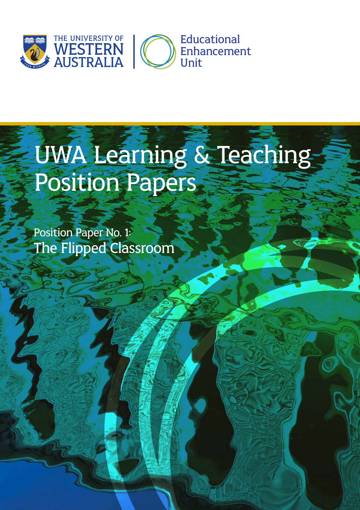

# UWA Learning & Teaching Position Papers

Position Paper No. 1: The Flipped Classroom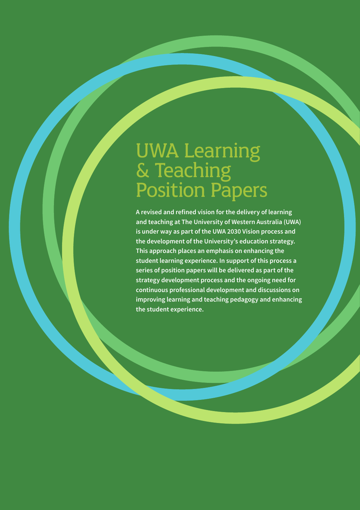## UWA Learning & Teaching Position Papers

**A revised and refined vision for the delivery of learning and teaching at The University of Western Australia (UWA) is under way as part of the UWA 2030 Vision process and the development of the University's education strategy. This approach places an emphasis on enhancing the student learning experience. In support of this process a series of position papers will be delivered as part of the strategy development process and the ongoing need for continuous professional development and discussions on improving learning and teaching pedagogy and enhancing the student experience.**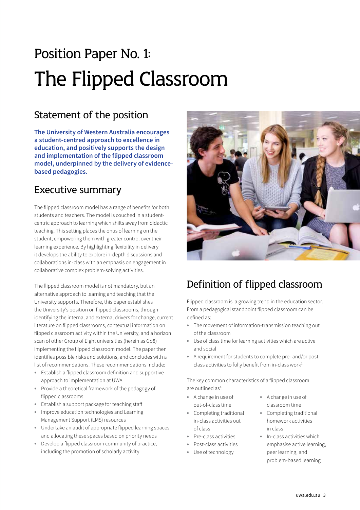# Position Paper No. 1: The Flipped Classroom

## Statement of the position

**The University of Western Australia encourages a student-centred approach to excellence in education, and positively supports the design and implementation of the flipped classroom model, underpinned by the delivery of evidencebased pedagogies.** 

## Executive summary

The flipped classroom model has a range of benefits for both students and teachers. The model is couched in a studentcentric approach to learning which shifts away from didactic teaching. This setting places the onus of learning on the student, empowering them with greater control over their learning experience. By highlighting flexibility in delivery it develops the ability to explore in-depth discussions and collaborations in-class with an emphasis on engagement in collaborative complex problem-solving activities.

The flipped classroom model is not mandatory, but an alternative approach to learning and teaching that the University supports. Therefore, this paper establishes the University's position on flipped classrooms, through identifying the internal and external drivers for change, current literature on flipped classrooms, contextual information on flipped classroom activity within the University, and a horizon scan of other Group of Eight universities (herein as Go8) implementing the flipped classroom model. The paper then identifies possible risks and solutions, and concludes with a list of recommendations. These recommendations include:

- **•** Establish a flipped classroom definition and supportive approach to implementation at UWA
- **•** Provide a theoretical framework of the pedagogy of flipped classrooms
- **•** Establish a support package for teaching staff
- **•** Improve education technologies and Learning Management Support (LMS) resources
- **•** Undertake an audit of appropriate flipped learning spaces and allocating these spaces based on priority needs
- **•** Develop a flipped classroom community of practice, including the promotion of scholarly activity



## Definition of flipped classroom

Flipped classroom is a growing trend in the education sector. From a pedagogical standpoint flipped classroom can be defined as:

- **•** The movement of information-transmission teaching out of the classroom
- **•** Use of class time for learning activities which are active and social
- **•** A requirement for students to complete pre- and/or postclass activities to fully benefit from in-class work $1$

The key common characteristics of a flipped classroom are outlined as<sup>2</sup>:

- **•** A change in use of out-of-class time
- **•** Completing traditional in-class activities out of class
- **•** Pre-class activities
- **•** Post-class activities
- **•** Use of technology
- **•** A change in use of classroom time
- **•** Completing traditional homework activities in class
- **•** In-class activities which emphasise active learning, peer learning, and problem-based learning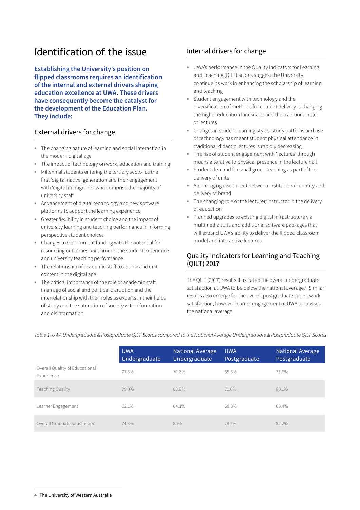## Identification of the issue

**Establishing the University's position on flipped classrooms requires an identification of the internal and external drivers shaping education excellence at UWA. These drivers have consequently become the catalyst for the development of the Education Plan. They include:** 

#### External drivers for change

- **•** The changing nature of learning and social interaction in the modern digital age
- **•** The impact of technology on work, education and training
- **•** Millennial students entering the tertiary sector as the first 'digital native' generation and their engagement with 'digital immigrants' who comprise the majority of university staff
- **•** Advancement of digital technology and new software platforms to support the learning experience
- **•** Greater flexibility in student choice and the impact of university learning and teaching performance in informing perspective student choices
- **•** Changes to Government funding with the potential for resourcing outcomes built around the student experience and university teaching performance
- **•** The relationship of academic staff to course and unit content in the digital age
- **•** The critical importance of the role of academic staff in an age of social and political disruption and the interrelationship with their roles as experts in their fields of study and the saturation of society with information and disinformation

#### Internal drivers for change

- **•** UWA's performance in the Quality Indicators for Learning and Teaching (QILT) scores suggest the University continue its work in enhancing the scholarship of learning and teaching
- **•** Student engagement with technology and the diversification of methods for content delivery is changing the higher education landscape and the traditional role of lectures
- **•** Changes in student learning styles, study patterns and use of technology has meant student physical attendance in traditional didactic lectures is rapidly decreasing
- **•** The rise of student engagement with 'lectures' through means alterative to physical presence in the lecture hall
- **•** Student demand for small group teaching as part of the delivery of units
- **•** An emerging disconnect between institutional identity and delivery of brand
- **•** The changing role of the lecturer/instructor in the delivery of education
- **•** Planned upgrades to existing digital infrastructure via multimedia suits and additional software packages that will expand UWA's ability to deliver the flipped classroom model and interactive lectures

#### Quality Indicators for Learning and Teaching (QILT) 2017

The QILT (2017) results illustrated the overall undergraduate satisfaction at UWA to be below the national average.<sup>3</sup> Similar results also emerge for the overall postgraduate coursework satisfaction, however learner engagement at UWA surpasses the national average:

|                                              | <b>UWA</b><br>Undergraduate | <b>National Average</b><br>Undergraduate | <b>UWA</b><br>Postgraduate | National Average<br>Postgraduate |
|----------------------------------------------|-----------------------------|------------------------------------------|----------------------------|----------------------------------|
| Overall Quality of Educational<br>Experience | 77.8%                       | 79.3%                                    | 65.8%                      | 75.6%                            |
| Teaching Quality                             | 79.0%                       | 80.9%                                    | 71.6%                      | 80.1%                            |
| Learner Engagement                           | 62.1%                       | 64.1%                                    | 66.8%                      | 60.4%                            |
| Overall Graduate Satisfaction                | 74.3%                       | 80%                                      | 78.7%                      | 82.2%                            |

*Table 1. UWA Undergraduate & Postgraduate QILT Scores compared to the National Average Undergraduate & Postgraduate QILT Scores*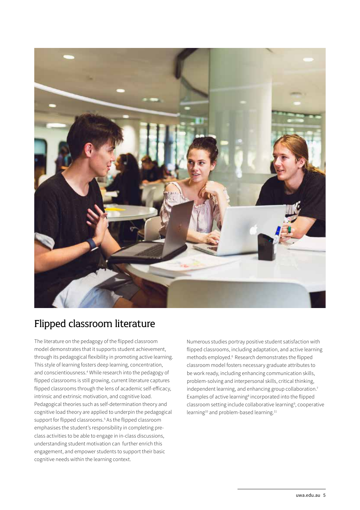![](_page_4_Picture_0.jpeg)

## Flipped classroom literature

The literature on the pedagogy of the flipped classroom model demonstrates that it supports student achievement, through its pedagogical flexibility in promoting active learning. This style of learning fosters deep learning, concentration, and conscientiousness.<sup>4</sup> While research into the pedagogy of flipped classrooms is still growing, current literature captures flipped classrooms through the lens of academic self-efficacy, intrinsic and extrinsic motivation, and cognitive load. Pedagogical theories such as self-determination theory and cognitive load theory are applied to underpin the pedagogical support for flipped classrooms.<sup>5</sup> As the flipped classroom emphasises the student's responsibility in completing preclass activities to be able to engage in in-class discussions, understanding student motivation can further enrich this engagement, and empower students to support their basic cognitive needs within the learning context.

Numerous studies portray positive student satisfaction with flipped classrooms, including adaptation, and active learning methods employed.<sup>6</sup> Research demonstrates the flipped classroom model fosters necessary graduate attributes to be work ready, including enhancing communication skills, problem-solving and interpersonal skills, critical thinking, independent learning, and enhancing group collaboration.<sup>7</sup> Examples of active learning<sup>8</sup> incorporated into the flipped classroom setting include collaborative learning<sup>9</sup>, cooperative learning<sup>10</sup> and problem-based learning.<sup>11</sup>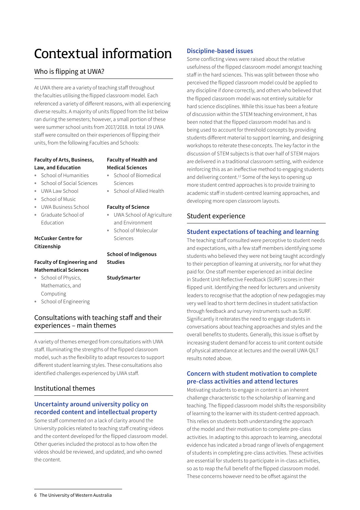## Contextual information

#### Who is flipping at UWA?

At UWA there are a variety of teaching staff throughout the faculties utilising the flipped classroom model. Each referenced a variety of different reasons, with all experiencing diverse results. A majority of units flipped from the list below ran during the semesters; however, a small portion of these were summer school units from 2017/2018. In total 19 UWA staff were consulted on their experiences of flipping their units, from the following Faculties and Schools:

#### **Faculty of Arts, Business, Law, and Education**

- **•** School of Humanities
- **•** School of Social Sciences
- **•** UWA Law School
- **•** School of Music
- **•** UWA Business School
- **•** Graduate School of Education

#### **McCusker Centre for Citizenship**

#### **Faculty of Engineering and Mathematical Sciences**

- **•** School of Physics, Mathematics, and Computing
- **•** School of Engineering

#### Consultations with teaching staff and their experiences – main themes

A variety of themes emerged from consultations with UWA staff. Illuminating the strengths of the flipped classroom model, such as the flexibility to adapt resources to support different student learning styles. These consultations also identified challenges experienced by UWA staff.

#### Institutional themes

#### **Uncertainty around university policy on recorded content and intellectual property**

Some staff commented on a lack of clarity around the University policies related to teaching staff creating videos and the content developed for the flipped classroom model. Other queries included the protocol as to how often the videos should be reviewed, and updated, and who owned the content.

#### **Discipline-based issues**

Some conflicting views were raised about the relative usefulness of the flipped classroom model amongst teaching staff in the hard sciences. This was split between those who perceived the flipped classroom model could be applied to any discipline if done correctly, and others who believed that the flipped classroom model was not entirely suitable for hard science disciplines. While this issue has been a feature of discussion within the STEM teaching environment, it has been noted that the flipped classroom model has and is being used to account for threshold concepts by providing students different material to support learning, and designing workshops to reiterate these concepts. The key factor in the discussion of STEM subjects is that over half of STEM majors are delivered in a traditional classroom setting, with evidence reinforcing this as an ineffective method to engaging students and delivering content.<sup>12</sup> Some of the keys to opening up more student centred approaches is to provide training to academic staff in student-centred learning approaches, and developing more open classroom layouts.

#### Student experience

#### **Student expectations of teaching and learning**

The teaching staff consulted were perceptive to student needs and expectations, with a few staff members identifying some students who believed they were not being taught accordingly to their perception of learning at university, nor for what they paid for. One staff member experienced an initial decline in Student Unit Reflective Feedback (SURF) scores in their flipped unit. Identifying the need for lecturers and university leaders to recognise that the adoption of new pedagogies may very well lead to short term declines in student satisfaction through feedback and survey instruments such as SURF. Significantly it reiterates the need to engage students in conversations about teaching approaches and styles and the overall benefits to students. Generally, this issue is offset by increasing student demand for access to unit content outside of physical attendance at lectures and the overall UWA QILT results noted above.

#### **Concern with student motivation to complete pre-class activities and attend lectures**

Motivating students to engage in content is an inherent challenge characteristic to the scholarship of learning and teaching. The flipped classroom model shifts the responsibility of learning to the learner with its student-centred approach. This relies on students both understanding the approach of the model and their motivation to complete pre-class activities. In adapting to this approach to learning, anecdotal evidence has indicated a broad range of levels of engagement of students in completing pre-class activities. These activities are essential for students to participate in in-class activities, so as to reap the full benefit of the flipped classroom model. These concerns however need to be offset against the

**School of Indigenous Studies**

**Faculty of Health and Medical Sciences •** School of Biomedical

**•** School of Allied Health

**•** UWA School of Agriculture and Environment **•** School of Molecular Sciences

Sciences

**Faculty of Science**

**StudySmarter**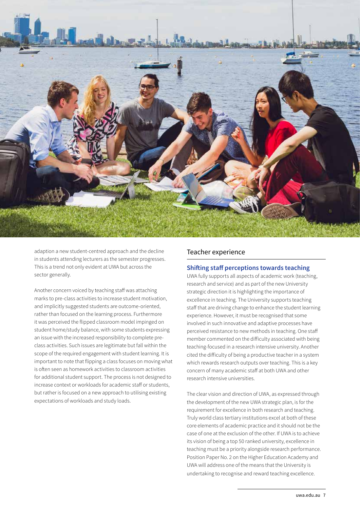![](_page_6_Picture_0.jpeg)

adaption a new student-centred approach and the decline in students attending lecturers as the semester progresses. This is a trend not only evident at UWA but across the sector generally.

Another concern voiced by teaching staff was attaching marks to pre-class activities to increase student motivation, and implicitly suggested students are outcome-oriented, rather than focused on the learning process. Furthermore it was perceived the flipped classroom model impinged on student home/study balance, with some students expressing an issue with the increased responsibility to complete preclass activities. Such issues are legitimate but fall within the scope of the required engagement with student learning. It is important to note that flipping a class focuses on moving what is often seen as homework activities to classroom activities for additional student support. The process is not designed to increase context or workloads for academic staff or students, but rather is focused on a new approach to utilising existing expectations of workloads and study loads.

#### Teacher experience

#### **Shifting staff perceptions towards teaching**

UWA fully supports all aspects of academic work (teaching, research and service) and as part of the new University strategic direction it is highlighting the importance of excellence in teaching. The University supports teaching staff that are driving change to enhance the student learning experience. However, it must be recognised that some involved in such innovative and adaptive processes have perceived resistance to new methods in teaching. One staff member commented on the difficulty associated with being teaching-focused in a research intensive university. Another cited the difficulty of being a productive teacher in a system which rewards research outputs over teaching. This is a key concern of many academic staff at both UWA and other research intensive universities.

The clear vision and direction of UWA, as expressed through the development of the new UWA strategic plan, is for the requirement for excellence in both research and teaching. Truly world class tertiary institutions excel at both of these core elements of academic practice and it should not be the case of one at the exclusion of the other. If UWA is to achieve its vision of being a top 50 ranked university, excellence in teaching must be a priority alongside research performance. Position Paper No. 2 on the Higher Education Academy and UWA will address one of the means that the University is undertaking to recognise and reward teaching excellence.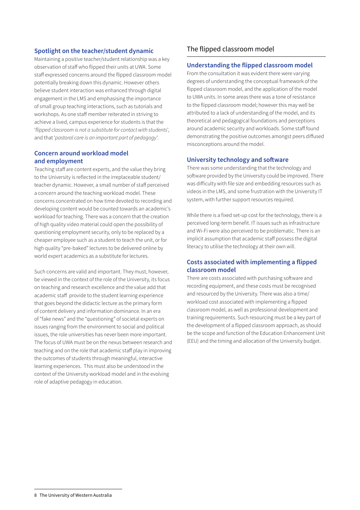#### **Spotlight on the teacher/student dynamic**

Maintaining a positive teacher/student relationship was a key observation of staff who flipped their units at UWA. Some staff expressed concerns around the flipped classroom model potentially breaking down this dynamic. However others believe student interaction was enhanced through digital engagement in the LMS and emphasising the importance of small group teaching interactions, such as tutorials and workshops. As one staff member reiterated in striving to achieve a lived, campus experience for students is that the 'flipped classroom is not a substitute for contact with students', and that 'pastoral care is an important part of pedagogy'.

#### **Concern around workload model and employment**

Teaching staff are content experts, and the value they bring to the University is reflected in the irreplaceable student/ teacher dynamic. However, a small number of staff perceived a concern around the teaching workload model. These concerns concentrated on how time devoted to recording and developing content would be counted towards an academic's workload for teaching. There was a concern that the creation of high quality video material could open the possibility of questioning employment security, only to be replaced by a cheaper employee such as a student to teach the unit, or for high quality "pre-baked" lectures to be delivered online by world expert academics as a substitute for lectures.

Such concerns are valid and important. They must, however, be viewed in the context of the role of the University, its focus on teaching and research excellence and the value add that academic staff provide to the student learning experience that goes beyond the didactic lecture as the primary form of content delivery and information dominance. In an era of "fake news" and the "questioning" of societal experts on issues ranging from the environment to social and political issues, the role universities has never been more important. The focus of UWA must be on the nexus between research and teaching and on the role that academic staff play in improving the outcomes of students through meaningful, interactive learning experiences. This must also be understood in the context of the University workload model and in the evolving role of adaptive pedagogy in education.

#### The flipped classroom model

#### **Understanding the flipped classroom model**

From the consultation it was evident there were varying degrees of understanding the conceptual framework of the flipped classroom model, and the application of the model to UWA units. In some areas there was a tone of resistance to the flipped classroom model; however this may well be attributed to a lack of understanding of the model, and its theoretical and pedagogical foundations and perceptions around academic security and workloads. Some staff found demonstrating the positive outcomes amongst peers diffused misconceptions around the model.

#### **University technology and software**

There was some understanding that the technology and software provided by the University could be improved. There was difficulty with file size and embedding resources such as videos in the LMS, and some frustration with the University IT system, with further support resources required.

While there is a fixed set-up cost for the technology, there is a perceived long-term benefit. IT issues such as infrastructure and Wi-Fi were also perceived to be problematic. There is an implicit assumption that academic staff possess the digital literacy to utilise the technology at their own will.

#### **Costs associated with implementing a flipped classroom model**

There are costs associated with purchasing software and recording equipment, and these costs must be recognised and resourced by the University. There was also a time/ workload cost associated with implementing a flipped classroom model, as well as professional development and training requirements. Such resourcing must be a key part of the development of a flipped classroom approach, as should be the scope and function of the Education Enhancement Unit (EEU) and the timing and allocation of the University budget.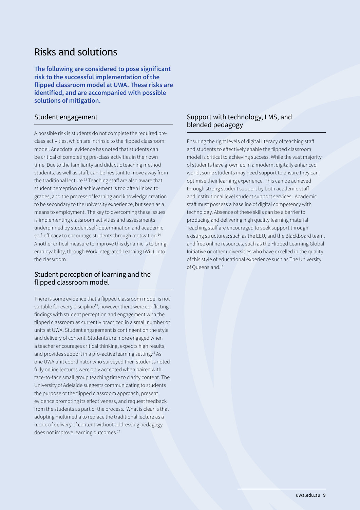## Risks and solutions

**The following are considered to pose significant risk to the successful implementation of the flipped classroom model at UWA. These risks are identified, and are accompanied with possible solutions of mitigation.** 

#### Student engagement

A possible risk is students do not complete the required preclass activities, which are intrinsic to the flipped classroom model. Anecdotal evidence has noted that students can be critical of completing pre-class activities in their own time. Due to the familiarity and didactic teaching method students, as well as staff, can be hesitant to move away from the traditional lecture.<sup>13</sup> Teaching staff are also aware that student perception of achievement is too often linked to grades, and the process of learning and knowledge creation to be secondary to the university experience, but seen as a means to employment. The key to overcoming these issues is implementing classroom activities and assessments underpinned by student self-determination and academic self-efficacy to encourage students through motivation.<sup>14</sup> Another critical measure to improve this dynamic is to bring employability, through Work Integrated Learning (WiL), into the classroom.

#### Student perception of learning and the flipped classroom model

There is some evidence that a flipped classroom model is not suitable for every discipline<sup>15</sup>, however there were conflicting findings with student perception and engagement with the flipped classroom as currently practiced in a small number of units at UWA. Student engagement is contingent on the style and delivery of content. Students are more engaged when a teacher encourages critical thinking, expects high results, and provides support in a pro-active learning setting.<sup>16</sup> As one UWA unit coordinator who surveyed their students noted fully online lectures were only accepted when paired with face-to-face small group teaching time to clarify content. The University of Adelaide suggests communicating to students the purpose of the flipped classroom approach, present evidence promoting its effectiveness, and request feedback from the students as part of the process. What is clear is that adopting multimedia to replace the traditional lecture as a mode of delivery of content without addressing pedagogy does not improve learning outcomes.<sup>17</sup>

#### Support with technology, LMS, and blended pedagogy

Ensuring the right levels of digital literacy of teaching staff and students to effectively enable the flipped classroom model is critical to achieving success. While the vast majority of students have grown up in a modern, digitally enhanced world, some students may need support to ensure they can optimise their learning experience. This can be achieved through strong student support by both academic staff and institutional level student support services. Academic staff must possess a baseline of digital competency with technology. Absence of these skills can be a barrier to producing and delivering high quality learning material. Teaching staff are encouraged to seek support through existing structures; such as the EEU, and the Blackboard team, and free online resources, such as the Flipped Learning Global Initiative or other universities who have excelled in the quality of this style of educational experience such as The University of Queensland.18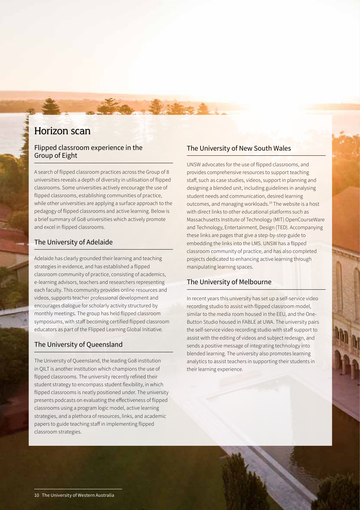### Horizon scan

#### Flipped classroom experience in the Group of Eight

A search of flipped classroom practices across the Group of 8 universities reveals a depth of diversity in utilisation of flipped classrooms. Some universities actively encourage the use of flipped classrooms, establishing communities of practice, while other universities are applying a surface approach to the pedagogy of flipped classrooms and active learning. Below is a brief summary of Go8 universities which actively promote and excel in flipped classrooms.

#### The University of Adelaide

Adelaide has clearly grounded their learning and teaching strategies in evidence, and has established a flipped classroom community of practice, consisting of academics, e-learning advisors, teachers and researchers representing each faculty. This community provides online resources and videos, supports teacher professional development and encourages dialogue for scholarly activity structured by monthly meetings. The group has held flipped classroom symposiums, with staff becoming certified flipped classroom educators as part of the Flipped Learning Global Initiative.

#### The University of Queensland

The University of Queensland, the leading Go8 institution in QILT is another institution which champions the use of flipped classrooms. The university recently refined their student strategy to encompass student flexibility, in which flipped classrooms is neatly positioned under. The university presents podcasts on evaluating the effectiveness of flipped classrooms using a program logic model, active learning strategies, and a plethora of resources, links, and academic papers to guide teaching staff in implementing flipped classroom strategies.

#### The University of New South Wales

UNSW advocates for the use of flipped classrooms, and provides comprehensive resources to support teaching staff, such as case studies, videos, support in planning and designing a blended unit, including guidelines in analysing student needs and communication, desired learning outcomes, and managing workloads.19 The website is a host with direct links to other educational platforms such as Massachusetts Institute of Technology (MIT) OpenCourseWare and Technology, Entertainment, Design (TED). Accompanying these links are pages that give a step-by-step guide to embedding the links into the LMS. UNSW has a flipped classroom community of practice, and has also completed projects dedicated to enhancing active learning through manipulating learning spaces.

#### The University of Melbourne

In recent years this university has set up a self-service video recording studio to assist with flipped classroom model, similar to the media room housed in the EEU, and the One-Button Studio housed in FABLE at UWA. The university pairs the self-service video recording studio with staff support to assist with the editing of videos and subject redesign, and sends a positive message of integrating technology into blended learning. The university also promotes learning analytics to assist teachers in supporting their students in their learning experience.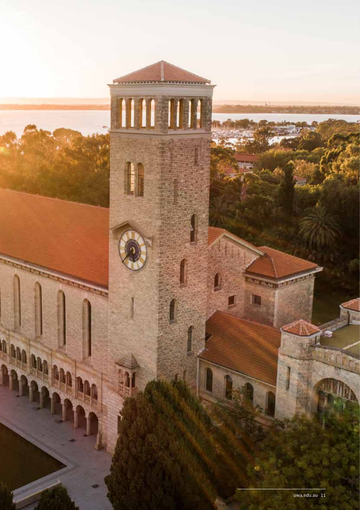![](_page_10_Picture_0.jpeg)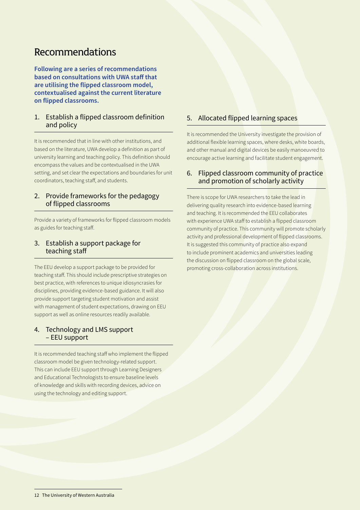### Recommendations

**Following are a series of recommendations based on consultations with UWA staff that are utilising the flipped classroom model, contextualised against the current literature on flipped classrooms.** 

#### 1. Establish a flipped classroom definition and policy

It is recommended that in line with other institutions, and based on the literature, UWA develop a definition as part of university learning and teaching policy. This definition should encompass the values and be contextualised in the UWA setting, and set clear the expectations and boundaries for unit coordinators, teaching staff, and students.

#### 2. Provide frameworks for the pedagogy of flipped classrooms

Provide a variety of frameworks for flipped classroom models as guides for teaching staff.

#### 3. Establish a support package for teaching staff

The EEU develop a support package to be provided for teaching staff. This should include prescriptive strategies on best practice, with references to unique idiosyncrasies for disciplines, providing evidence-based guidance. It will also provide support targeting student motivation and assist with management of student expectations, drawing on EEU support as well as online resources readily available.

#### 4. Technology and LMS support – EEU support

It is recommended teaching staff who implement the flipped classroom model be given technology-related support. This can include EEU support through Learning Designers and Educational Technologists to ensure baseline levels of knowledge and skills with recording devices, advice on using the technology and editing support.

#### 5. Allocated flipped learning spaces

It is recommended the University investigate the provision of additional flexible learning spaces, where desks, white boards, and other manual and digital devices be easily manoeuvred to encourage active learning and facilitate student engagement.

#### 6. Flipped classroom community of practice and promotion of scholarly activity

There is scope for UWA researchers to take the lead in delivering quality research into evidence-based learning and teaching. It is recommended the EEU collaborates with experience UWA staff to establish a flipped classroom community of practice. This community will promote scholarly activity and professional development of flipped classrooms. It is suggested this community of practice also expand to include prominent academics and universities leading the discussion on flipped classroom on the global scale, promoting cross-collaboration across institutions.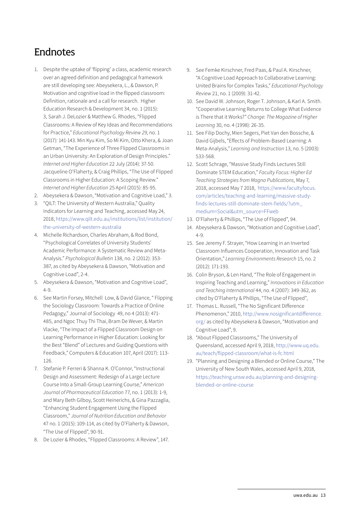## Endnotes

- 1. Despite the uptake of 'flipping' a class, academic research over an agreed definition and pedagogical framework are still developing see: Abeysekera, L., & Dawson, P. Motivation and cognitive load in the flipped classroom: Definition, rationale and a call for research. Higher Education Research & Development 34, no. 1 (2015): 3, Sarah J. DeLozier & Matthew G. Rhodes, "Flipped Classrooms: A Review of Key Ideas and Recommendations for Practice," Educational Psychology Review 29, no. 1 (2017): 141-143. Min Kyu Kim, So Mi Kim, Otto Khera, & Joan Getman, "The Experience of Three Flipped Classrooms in an Urban University: An Exploration of Design Principles." *Internet and Higher Education* 22 July (2014): 37-50. Jacqueline O'Flaherty, & Craig Phillips, "The Use of Flipped Classrooms in Higher Education: A Scoping Review." *Internet and Higher Education* 25 April (2015): 85-95.
- 2. Abeysekera & Dawson, "Motivation and Cognitive Load," 3.
- 3. "QILT: The University of Western Australia," Quality Indicators for Learning and Teaching, accessed May 24, 2018, https://www.qilt.edu.au/institutions/list/institution/ the-university-of-western-australia
- 4. Michelle Richardson, Charles Abraham, & Rod Bond, "Psychological Correlates of University Students' Academic Performance: A Systematic Review and Meta-Analysis." Psychological Bulletin 138, no. 2 (2012): 353- 387, as cited by Abeysekera & Dawson, "Motivation and Cognitive Load", 2-4.
- 5. Abeysekera & Dawson, "Motivation and Cognitive Load", 4-9.
- 6. See Martin Forsey, Mitchell Low, & David Glance, " Flipping the Sociology Classroom: Towards a Practice of Online Pedagogy," Journal of Sociology 49, no 4 (2013): 471- 485, and Ngoc Thuy Thi Thai, Bram De Wever, & Martin Vlacke, "The Impact of a Flipped Classroom Design on Learning Performance in Higher Education: Looking for the Best "Blend" of Lectures and Guiding Questions with Feedback," Computers & Education 107, April (2017): 113- 126.
- 7. Stefanie P. Ferreri & Shanna K. O'Connor, "Instructional Design and Assessment: Redesign of a Large Lecture Course Into a Small-Group Learning Course," *American*  Journal of Pharmaceutical Education 77, no. 1 (2013): 1-9, and Mary Beth Gilboy, Scott Heinerichs, & Gina Pazzaglia, "Enhancing Student Engagement Using the Flipped Classroom," Journal of Nutrition Education and Behavior 47 no. 1 (2015): 109-114, as cited by O'Flaherty & Dawson, "The Use of Flipped", 90-91.
- 8. De Lozier & Rhodes, "Flipped Classrooms: A Review", 147.
- 9. See Femke Kirschner, Fred Paas, & Paul A. Kirschner, "A Cognitive Load Approach to Collaborative Learning: United Brains for Complex Tasks," Educational Psychology Review 21, no. 1 (2009): 31-42.
- 10. See David W. Johnson, Roger T. Johnson, & Karl A. Smith. "Cooperative Learning Returns to College What Evidence is There that it Works?" Change: The Magazine of Higher *Learning* 30, no. 4 (1998): 26-35.
- 11. See Filip Dochy, Mien Segers, Piet Van den Bossche, & David Gijbels, "Effects of Problem-Based Learning: A Meta-Analysis," *Learning and Instruction* 13, no. 5 (2003): 533-568.
- 12. Scott Schrage, "Massive Study Finds Lectures Still Dominate STEM Education," Faculty Focus: Higher Ed Teaching Strategies from Magna Publications, May 7, 2018, accessed May 7 2018, https://www.facultyfocus. com/articles/teaching-and-learning/massive-studyfinds-lectures-still-dominate-stem-fields/?utm\_ medium=Social&utm\_source=FFweb
- 13. O'Flaherty & Phillips, "The Use of Flipped", 94.
- 14. Abeysekera & Dawson, "Motivation and Cognitive Load", 4-9.
- 15. See Jeremy F. Strayer, "How Learning in an Inverted Classroom Influences Cooperation, Innovation and Task Orientation," Learning Environments Research 15, no. 2 (2012): 171-193.
- 16. Colin Bryson, & Len Hand, "The Role of Engagement in Inspiring Teaching and Learning," *Innovations in Education and Teaching International* 44, no. 4 (2007): 349-362, as cited by O'Flaherty & Phillips, "The Use of Flipped",
- 17. Thomas L. Russell, "The No Significant Difference Phenomenon," 2010, http://www.nosignificantdifference. org/ as cited by Abeysekera & Dawson, "Motivation and Cognitive Load", 9.
- 18. "About Flipped Classrooms," The University of Queensland, accessed April 9, 2018, http://www.uq.edu. au/teach/flipped-classroom/what-is-fc.html
- 19. "Planning and Designing a Blended or Online Course," The University of New South Wales, accessed April 9, 2018, https://teaching.unsw.edu.au/planning-and-designingblended-or-online-course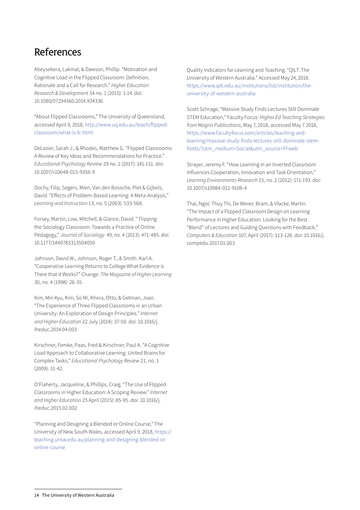## References

Abeysekera, Lakmal, & Dawson, Phillip. "Motivation and Cognitive Load in the Flipped Classroom: Definition, Rationale and a Call for Research." *Higher Education*  Research & Development 34 no. 1 (2015): 1-14. doi: 10.1080/07294360.2014.934336

"About Flipped Classrooms," The University of Queensland, accessed April 9, 2018, http://www.uq.edu.au/teach/flippedclassroom/what-is-fc.html

DeLozier, Sarah J., & Rhodes, Matthew G. "Flipped Classrooms: A Review of Key Ideas and Recommendations for Practice." Educational Psychology Review 29 no. 1 (2017): 141-151. doi: 10.1007/s10648-015-9356-9

Dochy, Filip, Segers, Mien, Van den Bossche, Piet & Gijbels, David. "Effects of Problem-Based Learning: A Meta-Analysis," *Learning and Instruction* 13, no. 5 (2003): 533-568.

Forsey, Martin, Low, Mitchell, & Glance, David. " Flipping the Sociology Classroom: Towards a Practice of Online Pedagogy," Journal of Sociology 49, no. 4 (2013): 471-485. doi: 10.1177/1440783313504059

Johnson, David W., Johnson, Roger T., & Smith. Karl A. "Cooperative Learning Returns to College What Evidence is There that it Works?" Change: The Magazine of Higher Learning 30, no. 4 (1998): 26-35.

Kim, Min Kyu, Kim, So Mi, Khera, Otto, & Getman, Joan. "The Experience of Three Flipped Classrooms in an Urban University: An Exploration of Design Principles." *Internet and Higher Education* 22 July (2014): 37-50. doi: 10.1016/j. iheduc.2014.04.003

Kirschner, Femke, Paas, Fred & Kirschner, Paul A. "A Cognitive Load Approach to Collaborative Learning: United Brains for Complex Tasks," Educational Psychology Review 21, no. 1 (2009): 31-42.

O'Flaherty, Jacqueline, & Phillips, Craig. "The Use of Flipped Classrooms in Higher Education: A Scoping Review." *Internet and Higher Education* 25 April (2015): 85-95. doi: 10.1016/j. iheduc.2015.02.002

"Planning and Designing a Blended or Online Course," The University of New South Wales, accessed April 9, 2018, https:// teaching.unsw.edu.au/planning-and-designing-blended-oronline-course

Quality Indicators for Learning and Teaching. "QILT: The University of Western Australia." Accessed May 24, 2018. https://www.qilt.edu.au/institutions/list/institution/theuniversity-of-western-australia

Scott Schrage, "Massive Study Finds Lectures Still Dominate STEM Education," Faculty Focus: *Higher Ed Teaching Strategies*  from Magna Publications, May 7, 2018, accessed May 7 2018, https://www.facultyfocus.com/articles/teaching-andlearning/massive-study-finds-lectures-still-dominate-stemfields/?utm\_medium=Social&utm\_source=FFweb

Strayer, Jeremy F. "How Learning in an Inverted Classroom Influences Cooperation, Innovation and Task Orientation," Learning Environments Research 15, no. 2 (2012): 171-193. doi: 10.1007/s10984-012-9108-4

Thai, Ngoc Thuy Thi, De Wever, Bram, & Vlacke, Martin. "The Impact of a Flipped Classroom Design on Learning Performance in Higher Education: Looking for the Best "Blend" of Lectures and Guiding Questions with Feedback," *Computers & Education* 107, April (2017): 113-126. doi: 10.1016/j. compedu.2017.01.003

<sup>14</sup> The University of Western Australia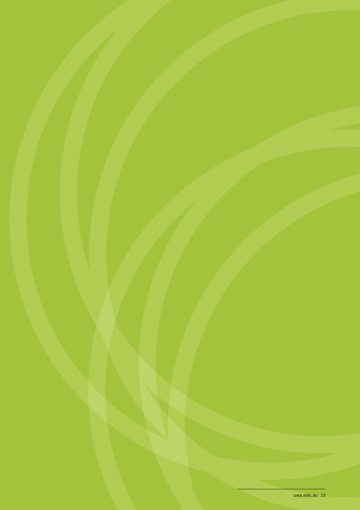uwa.edu.au 15